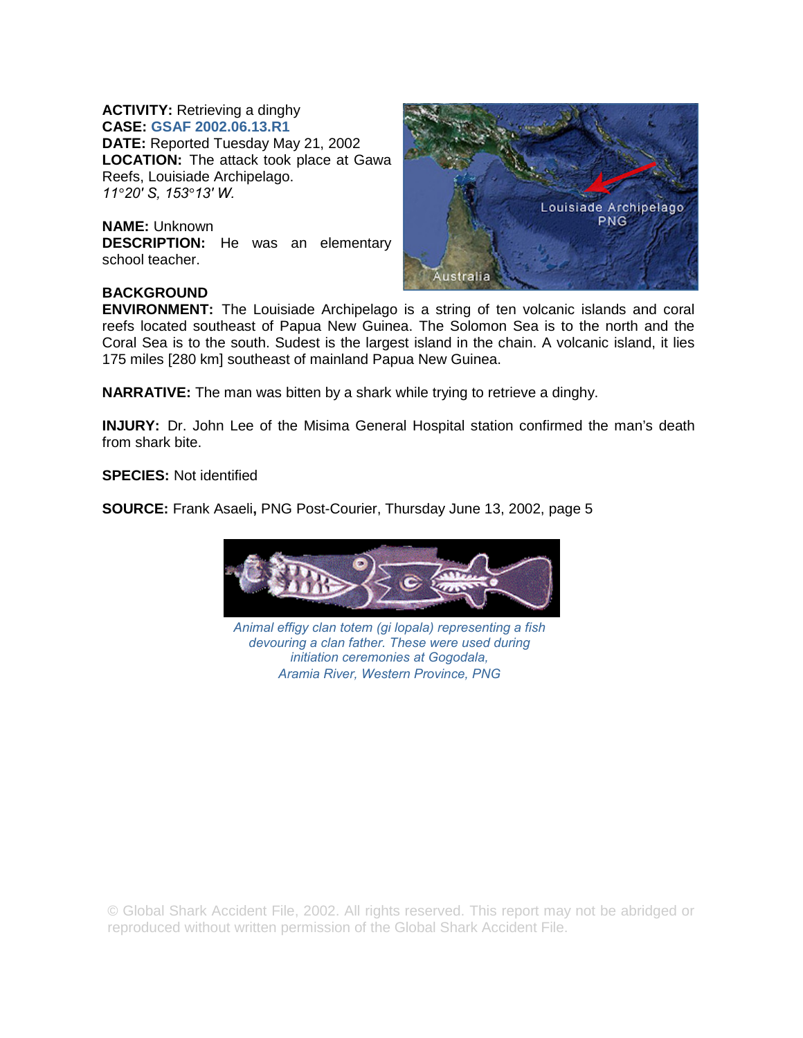## **ACTIVITY:** Retrieving a dinghy **CASE: GSAF 2002.06.13.R1**

**DATE:** Reported Tuesday May 21, 2002 **LOCATION:** The attack took place at Gawa Reefs, Louisiade Archipelago. *11°20′ S, 153°13′ W.* 

**NAME:** Unknown **DESCRIPTION:** He was an elementary school teacher.



## **BACKGROUND**

**ENVIRONMENT:** The Louisiade Archipelago is a string of ten volcanic islands and coral reefs located southeast of Papua New Guinea. The Solomon Sea is to the north and the Coral Sea is to the south. Sudest is the largest island in the chain. A volcanic island, it lies 175 miles [280 km] southeast of mainland Papua New Guinea.

**NARRATIVE:** The man was bitten by a shark while trying to retrieve a dinghy.

**INJURY:** Dr. John Lee of the Misima General Hospital station confirmed the man's death from shark bite.

**SPECIES:** Not identified

**SOURCE:** Frank Asaeli**,** PNG Post-Courier, Thursday June 13, 2002, page 5



*Animal effigy clan totem (gi lopala) representing a fish devouring a clan father. These were used during initiation ceremonies at Gogodala, Aramia River, Western Province, PNG* 

© Global Shark Accident File, 2002. All rights reserved. This report may not be abridged or reproduced without written permission of the Global Shark Accident File.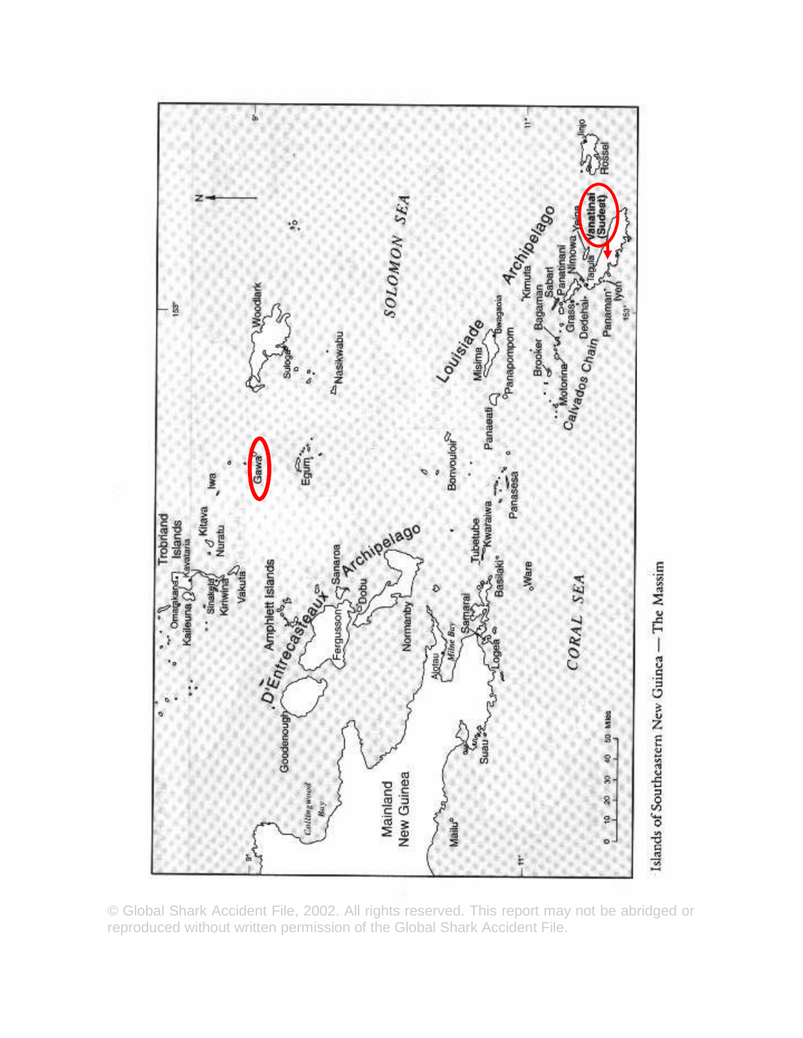

© Global Shark Accident File, 2002. All rights reserved. This report may not be abridged or reproduced without written permission of the Global Shark Accident File.